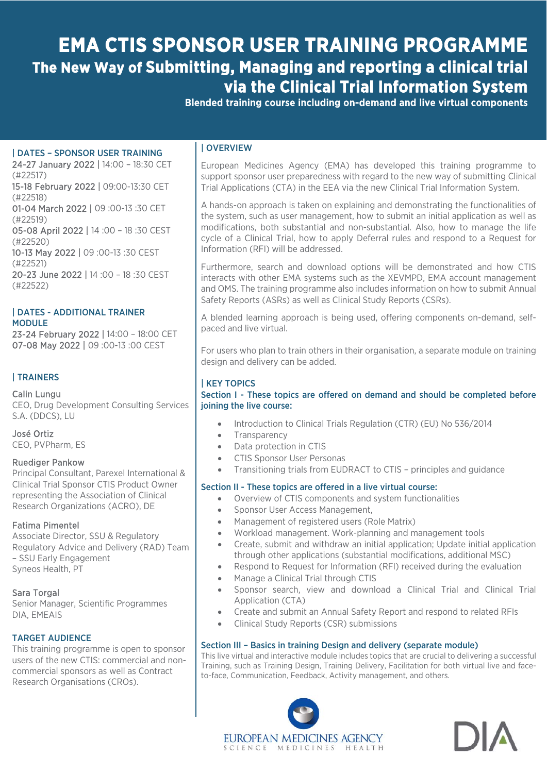# **EMA CTIS SPONSOR USER TRAINING PROGRAMME The New Way of Submitting, Managing and reporting a clinical trial via the Clinical Trial Information System**

Blended training course including on-demand and live virtual components

#### | DATES – SPONSOR USER TRAINING

24-27 January 2022 | 14:00 – 18:30 CET (#22517) 15-18 February 2022 | 09:00-13:30 CET (#22518) 01-04 March 2022 | 09 :00-13 :30 CET (#22519) 05-08 April 2022 | 14 :00 – 18 :30 CEST (#22520) 10-13 May 2022 | 09 :00-13 :30 CEST (#22521) 20-23 June 2022 | 14 :00 – 18 :30 CEST (#22522)

#### | DATES - ADDITIONAL TRAINER MODULE

23-24 February 2022 | 14:00 – 18:00 CET 07-08 May 2022 | 09 :00-13 :00 CEST

#### | TRAINERS

#### Calin Lungu

CEO, Drug Development Consulting Services S.A. (DDCS), LU

José Ortiz CEO, PVPharm, ES

#### Ruediger Pankow

Principal Consultant, Parexel International & Clinical Trial Sponsor CTIS Product Owner representing the Association of Clinical Research Organizations (ACRO), DE

#### Fatima Pimentel

Associate Director, SSU & Regulatory Regulatory Advice and Delivery (RAD) Team – SSU Early Engagement Syneos Health, PT

#### Sara Torgal

Senior Manager, Scientific Programmes DIA, EMEAIS

#### TARGET AUDIENCE

This training programme is open to sponsor users of the new CTIS: commercial and noncommercial sponsors as well as Contract Research Organisations (CROs).

#### | OVERVIEW

European Medicines Agency (EMA) has developed this training programme to support sponsor user preparedness with regard to the new way of submitting Clinical Trial Applications (CTA) in the EEA via the new Clinical Trial Information System.

A hands-on approach is taken on explaining and demonstrating the functionalities of the system, such as user management, how to submit an initial application as well as modifications, both substantial and non-substantial. Also, how to manage the life cycle of a Clinical Trial, how to apply Deferral rules and respond to a Request for Information (RFI) will be addressed.

Furthermore, search and download options will be demonstrated and how CTIS interacts with other EMA systems such as the XEVMPD, EMA account management and OMS. The training programme also includes information on how to submit Annual Safety Reports (ASRs) as well as Clinical Study Reports (CSRs).

A blended learning approach is being used, offering components on-demand, selfpaced and live virtual.

For users who plan to train others in their organisation, a separate module on training design and delivery can be added.

#### | KEY TOPICS

Section I - These topics are offered on demand and should be completed before joining the live course:

- Introduction to Clinical Trials Regulation (CTR) (EU) No 536/2014
- Transparency
- Data protection in CTIS
- CTIS Sponsor User Personas
- Transitioning trials from EUDRACT to CTIS principles and guidance

#### Section II - These topics are offered in a live virtual course:

- Overview of CTIS components and system functionalities
- Sponsor User Access Management,
- Management of registered users (Role Matrix)
- Workload management. Work-planning and management tools
- Create, submit and withdraw an initial application; Update initial application through other applications (substantial modifications, additional MSC)
- Respond to Request for Information (RFI) received during the evaluation
- Manage a Clinical Trial through CTIS
- Sponsor search, view and download a Clinical Trial and Clinical Trial Application (CTA)
- Create and submit an Annual Safety Report and respond to related RFIs
- Clinical Study Reports (CSR) submissions

#### Section III – Basics in training Design and delivery (separate module)

This live virtual and interactive module includes topics that are crucial to delivering a successful Training, such as Training Design, Training Delivery, Facilitation for both virtual live and faceto-face, Communication, Feedback, Activity management, and others.



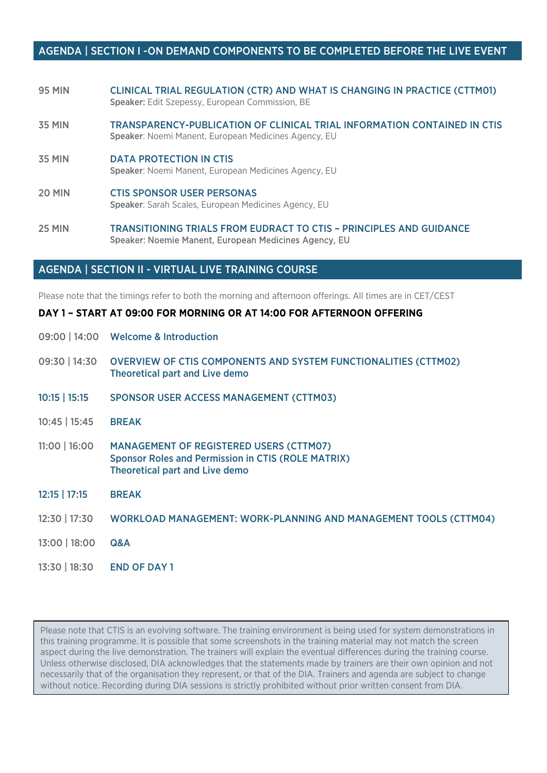## AGENDA | SECTION I -ON DEMAND COMPONENTS TO BE COMPLETED BEFORE THE LIVE EVENT

- 95 MIN CLINICAL TRIAL REGULATION (CTR) AND WHAT IS CHANGING IN PRACTICE (CTTM01) Speaker: Edit Szepessy, European Commission, BE
- 35 MIN TRANSPARENCY-PUBLICATION OF CLINICAL TRIAL INFORMATION CONTAINED IN CTIS Speaker: Noemi Manent, European Medicines Agency, EU
- 35 MIN DATA PROTECTION IN CTIS Speaker: Noemi Manent, European Medicines Agency, EU
- 20 MIN CTIS SPONSOR USER PERSONAS Speaker: Sarah Scales, European Medicines Agency, EU
- 25 MIN TRANSITIONING TRIALS FROM EUDRACT TO CTIS PRINCIPLES AND GUIDANCE Speaker: Noemie Manent, European Medicines Agency, EU

#### AGENDA | SECTION II - VIRTUAL LIVE TRAINING COURSE

13:30 | 18:30 END OF DAY 1

Please note that the timings refer to both the morning and afternoon offerings. All times are in CET/CEST

#### DAY 1 – START AT 09:00 FOR MORNING OR AT 14:00 FOR AFTERNOON OFFERING

|                 | 09:00   14:00     Welcome & Introduction                                                                                                             |
|-----------------|------------------------------------------------------------------------------------------------------------------------------------------------------|
| 09:30   14:30   | <b>OVERVIEW OF CTIS COMPONENTS AND SYSTEM FUNCTIONALITIES (CTTM02)</b><br><b>Theoretical part and Live demo</b>                                      |
| 10:15   15:15   | <b>SPONSOR USER ACCESS MANAGEMENT (CTTM03)</b>                                                                                                       |
| $10:45$   15:45 | <b>BREAK</b>                                                                                                                                         |
| $11:00$   16:00 | <b>MANAGEMENT OF REGISTERED USERS (CTTM07)</b><br><b>Sponsor Roles and Permission in CTIS (ROLE MATRIX)</b><br><b>Theoretical part and Live demo</b> |
| $12:15$   17:15 | <b>BREAK</b>                                                                                                                                         |
| 12:30   17:30   | <b>WORKLOAD MANAGEMENT: WORK-PLANNING AND MANAGEMENT TOOLS (CTTM04)</b>                                                                              |
| 13:00   18:00   | Q&A                                                                                                                                                  |
|                 |                                                                                                                                                      |

Please note that CTIS is an evolving software. The training environment is being used for system demonstrations in this training programme. It is possible that some screenshots in the training material may not match the screen aspect during the live demonstration. The trainers will explain the eventual differences during the training course. Unless otherwise disclosed, DIA acknowledges that the statements made by trainers are their own opinion and not necessarily that of the organisation they represent, or that of the DIA. Trainers and agenda are subject to change without notice. Recording during DIA sessions is strictly prohibited without prior written consent from DIA.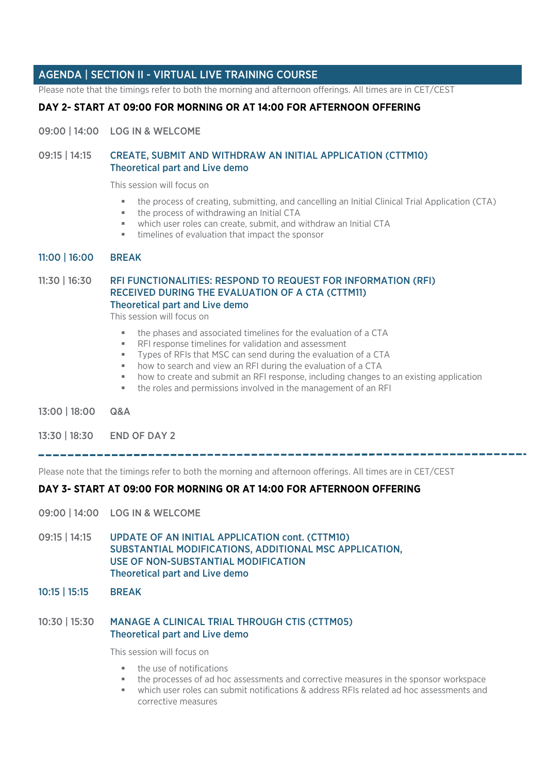## AGENDA | SECTION II - VIRTUAL LIVE TRAINING COURSE

Please note that the timings refer to both the morning and afternoon offerings. All times are in CET/CEST

### DAY 2- START AT 09:00 FOR MORNING OR AT 14:00 FOR AFTERNOON OFFERING

09:00 | 14:00 LOG IN & WELCOME

#### 09:15 | 14:15 CREATE, SUBMIT AND WITHDRAW AN INITIAL APPLICATION (CTTM10) Theoretical part and Live demo

This session will focus on

- the process of creating, submitting, and cancelling an Initial Clinical Trial Application (CTA)
- the process of withdrawing an Initial CTA
- which user roles can create, submit, and withdraw an Initial CTA
- timelines of evaluation that impact the sponsor

#### 11:00 | 16:00 BREAK

#### 11:30 | 16:30 RFI FUNCTIONALITIES: RESPOND TO REQUEST FOR INFORMATION (RFI) RECEIVED DURING THE EVALUATION OF A CTA (CTTM11) Theoretical part and Live demo

This session will focus on

- the phases and associated timelines for the evaluation of a CTA
- RFI response timelines for validation and assessment
- Types of RFIs that MSC can send during the evaluation of a CTA
- how to search and view an RFI during the evaluation of a CTA
- how to create and submit an RFI response, including changes to an existing application
- the roles and permissions involved in the management of an RFI
- 13:00 | 18:00 Q&A

13:30 | 18:30 END OF DAY 2

Ī Please note that the timings refer to both the morning and afternoon offerings. All times are in CET/CEST

## DAY 3- START AT 09:00 FOR MORNING OR AT 14:00 FOR AFTERNOON OFFERING

- 09:00 | 14:00 LOG IN & WELCOME
- 09:15 | 14:15 UPDATE OF AN INITIAL APPLICATION cont. (CTTM10) SUBSTANTIAL MODIFICATIONS, ADDITIONAL MSC APPLICATION, USE OF NON-SUBSTANTIAL MODIFICATION Theoretical part and Live demo
- 10:15 | 15:15 BREAK

#### 10:30 | 15:30 MANAGE A CLINICAL TRIAL THROUGH CTIS (CTTM05) Theoretical part and Live demo

This session will focus on

- the use of notifications
- the processes of ad hoc assessments and corrective measures in the sponsor workspace
- which user roles can submit notifications & address RFIs related ad hoc assessments and corrective measures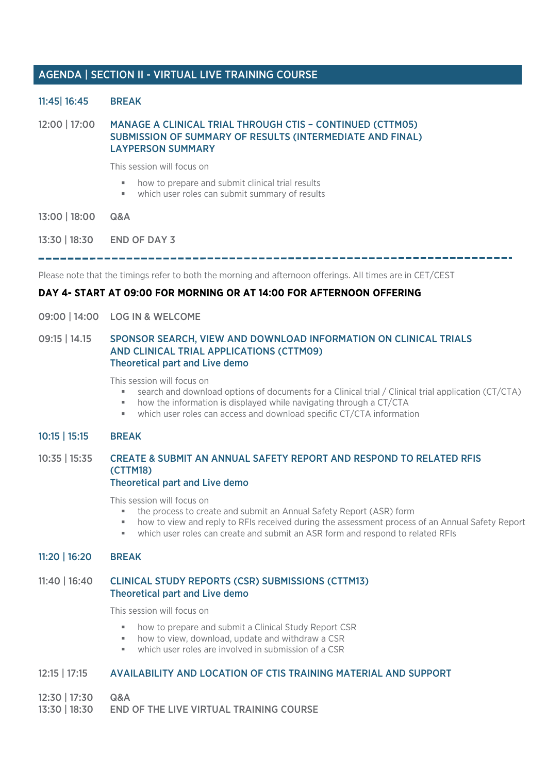## AGENDA | SECTION II - VIRTUAL LIVE TRAINING COURSE

#### 11:45| 16:45 BREAK

12:00 | 17:00 MANAGE A CLINICAL TRIAL THROUGH CTIS – CONTINUED (CTTM05) SUBMISSION OF SUMMARY OF RESULTS (INTERMEDIATE AND FINAL) LAYPERSON SUMMARY

This session will focus on

- how to prepare and submit clinical trial results
- which user roles can submit summary of results
- 13:00 | 18:00 Q&A
- 13:30 | 18:30 END OF DAY 3

Please note that the timings refer to both the morning and afternoon offerings. All times are in CET/CEST

## DAY 4- START AT 09:00 FOR MORNING OR AT 14:00 FOR AFTERNOON OFFERING

09:00 | 14:00 LOG IN & WELCOME

#### 09:15 | 14.15 SPONSOR SEARCH, VIEW AND DOWNLOAD INFORMATION ON CLINICAL TRIALS AND CLINICAL TRIAL APPLICATIONS (CTTM09) Theoretical part and Live demo

This session will focus on

- search and download options of documents for a Clinical trial / Clinical trial application (CT/CTA)
- how the information is displayed while navigating through a CT/CTA
- which user roles can access and download specific CT/CTA information

#### 10:15 | 15:15 BREAK

#### 10:35 | 15:35 CREATE & SUBMIT AN ANNUAL SAFETY REPORT AND RESPOND TO RELATED RFIS (CTTM18) Theoretical part and Live demo

## This session will focus on

- the process to create and submit an Annual Safety Report (ASR) form
- how to view and reply to RFIs received during the assessment process of an Annual Safety Report
- which user roles can create and submit an ASR form and respond to related RFIs

#### 11:20 | 16:20 BREAK

#### 11:40 | 16:40 CLINICAL STUDY REPORTS (CSR) SUBMISSIONS (CTTM13) Theoretical part and Live demo

This session will focus on

- how to prepare and submit a Clinical Study Report CSR
- how to view, download, update and withdraw a CSR
- which user roles are involved in submission of a CSR

#### 12:15 | 17:15 AVAILABILITY AND LOCATION OF CTIS TRAINING MATERIAL AND SUPPORT

- 12:30 | 17:30 Q&A
- 13:30 | 18:30 END OF THE LIVE VIRTUAL TRAINING COURSE